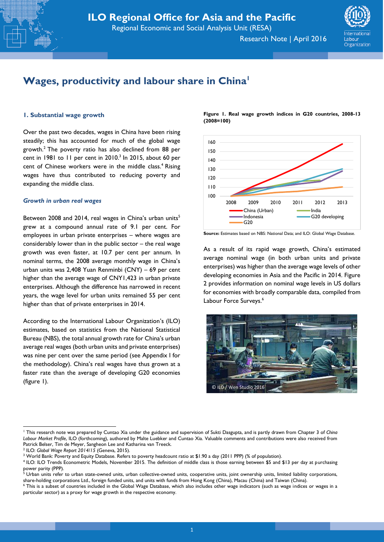Research Note | April 2016



# **Wages, productivity and labour share in China<sup>1</sup>**

### **1. Substantial wage growth**

Over the past two decades, wages in China have been rising steadily; this has accounted for much of the global wage growth. $2$  The poverty ratio has also declined from 88 per cent in 1981 to 11 per cent in  $2010<sup>3</sup>$  ln  $2015$ , about 60 per cent of Chinese workers were in the middle class.<sup>4</sup> Rising wages have thus contributed to reducing poverty and expanding the middle class.

#### *Growth in urban real wages*

Between 2008 and 2014, real wages in China's urban units<sup>5</sup> grew at a compound annual rate of 9.1 per cent. For employees in urban private enterprises – where wages are considerably lower than in the public sector – the real wage growth was even faster, at 10.7 per cent per annum. In nominal terms, the 2008 average monthly wage in China's urban units was 2,408 Yuan Renminbi (CNY) – 69 per cent higher than the average wage of CNY1,423 in urban private enterprises. Although the difference has narrowed in recent years, the wage level for urban units remained 55 per cent higher than that of private enterprises in 2014.

According to the International Labour Organization's (ILO) estimates, based on statistics from the National Statistical Bureau (NBS), the total annual growth rate for China's urban average real wages (both urban units and private enterprises) was nine per cent over the same period (see Appendix I for the methodology). China's real wages have thus grown at a faster rate than the average of developing G20 economies (figure 1).

**Figure 1. Real wage growth indices in G20 countries, 2008-13 (2008=100)**



**Source:** Estimates based on NBS: National Data; and ILO: Global Wage Database.

As a result of its rapid wage growth, China's estimated average nominal wage (in both urban units and private enterprises) was higher than the average wage levels of other developing economies in Asia and the Pacific in 2014. Figure 2 provides information on nominal wage levels in US dollars for economies with broadly comparable data, compiled from Labour Force Surveys.<sup>6</sup>



1

<sup>1</sup> This research note was prepared by Cuntao Xia under the guidance and supervision of Sukti Dasgupta, and is partly drawn from Chapter 3 of *China Labour Market Profile*, ILO (forthcoming), authored by Malte Luebker and Cuntao Xia. Valuable comments and contributions were also received from Patrick Belser, Tim de Meyer, Sangheon Lee and Katharina van Treeck.

<sup>2</sup> ILO: *Global Wage Report 2014/15* (Geneva, 2015).

<sup>&</sup>lt;sup>3</sup> World Bank: Poverty and Equity Database. Refers to poverty headcount ratio at \$1.90 a day (2011 PPP) (% of population).

<sup>4</sup> ILO: ILO Trends Econometric Models, November 2015. The definition of middle class is those earning between \$5 and \$13 per day at purchasing power parity (PPP).

 $5$  Urban units refer to urban state-owned units, urban collective-owned units, cooperative units, joint ownership units, limited liability corporations, share-holding corporations Ltd., foreign funded units, and units with funds from Hong Kong (China), Macau (China) and Taiwan (China).

<sup>&</sup>lt;sup>6</sup> This is a subset of countries included in the Global Wage Database, which also includes other wage indicators (such as wage indices or wages in a particular sector) as a proxy for wage growth in the respective economy.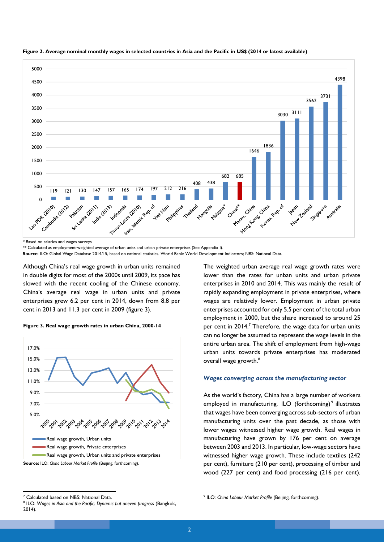

**Figure 2. Average nominal monthly wages in selected countries in Asia and the Pacific in US\$ (2014 or latest available)**

\* Based on salaries and wages surveys

\*\* Calculated as employment-weighted average of urban units and urban private enterprises (See Appendix I).

**Source:** ILO: Global Wage Database 2014/15, based on national statistics. World Bank: World Development Indicators; NBS: National Data.

Although China's real wage growth in urban units remained in double digits for most of the 2000s until 2009, its pace has slowed with the recent cooling of the Chinese economy. China's average real wage in urban units and private enterprises grew 6.2 per cent in 2014, down from 8.8 per cent in 2013 and 11.3 per cent in 2009 (figure 3).





The weighted urban average real wage growth rates were lower than the rates for unban units and urban private enterprises in 2010 and 2014. This was mainly the result of rapidly expanding employment in private enterprises, where wages are relatively lower. Employment in urban private enterprises accounted for only 5.5 per cent of the total urban employment in 2000, but the share increased to around 25 per cent in 2014.<sup>7</sup> Therefore, the wage data for urban units can no longer be assumed to represent the wage levels in the entire urban area. The shift of employment from high-wage urban units towards private enterprises has moderated overall wage growth.<sup>8</sup>

#### *Wages converging across the manufacturing sector*

As the world's factory, China has a large number of workers employed in manufacturing. ILO (forthcoming)<sup>9</sup> illustrates that wages have been converging across sub-sectors of urban manufacturing units over the past decade, as those with lower wages witnessed higher wage growth. Real wages in manufacturing have grown by 176 per cent on average between 2003 and 2013. In particular, low-wage sectors have witnessed higher wage growth. These include textiles (242 per cent), furniture (210 per cent), processing of timber and wood (227 per cent) and food processing (216 per cent).

<sup>1</sup> <sup>7</sup> Calculated based on NBS: National Data.

<sup>8</sup> ILO: *Wages in Asia and the Pacific: Dynamic but uneven progress* (Bangkok, 2014).

<sup>9</sup> ILO: *China Labour Market Profile* (Beijing, forthcoming).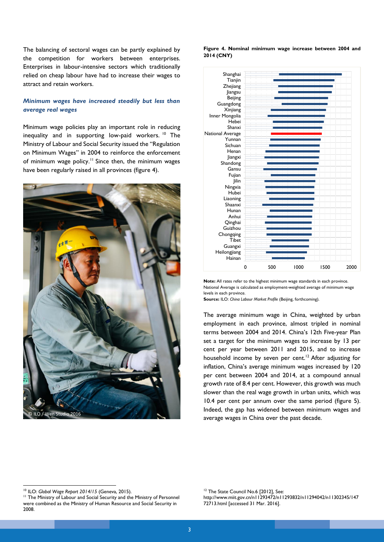The balancing of sectoral wages can be partly explained by the competition for workers between enterprises. Enterprises in labour-intensive sectors which traditionally relied on cheap labour have had to increase their wages to attract and retain workers.

## *Minimum wages have increased steadily but less than average real wages*

Minimum wage policies play an important role in reducing inequality and in supporting low-paid workers. <sup>10</sup> The Ministry of Labour and Social Security issued the "Regulation on Minimum Wages" in 2004 to reinforce the enforcement of minimum wage policy.<sup>11</sup> Since then, the minimum wages have been regularly raised in all provinces (figure 4).



**Figure 4. Nominal minimum wage increase between 2004 and 2014 (CNY)**



**Note:** All rates refer to the highest minimum wage standards in each province. National Average is calculated as employment-weighted average of minimum wage levels in each province.

**Source:** ILO: *China Labour Market Profile* (Beijing, forthcoming).

The average minimum wage in China, weighted by urban employment in each province, almost tripled in nominal terms between 2004 and 2014. China's 12th Five-year Plan set a target for the minimum wages to increase by 13 per cent per year between 2011 and 2015, and to increase household income by seven per cent.<sup>12</sup> After adjusting for inflation, China's average minimum wages increased by 120 per cent between 2004 and 2014, at a compound annual growth rate of 8.4 per cent. However, this growth was much slower than the real wage growth in urban units, which was 10.4 per cent per annum over the same period (figure 5). Indeed, the gap has widened between minimum wages and average wages in China over the past decade.

**<sup>.</sup>** <sup>10</sup> ILO: *Global Wage Report 2014/15* (Geneva, 2015).

<sup>&</sup>lt;sup>11</sup> The Ministry of Labour and Social Security and the Ministry of Personnel were combined as the Ministry of Human Resource and Social Security in 2008.

<sup>&</sup>lt;sup>12</sup> The State Council No.6 [2012], See: http://www.miit.gov.cn/n11293472/n11293832/n11294042/n11302345/147 72713.html [accessed 31 Mar. 2016].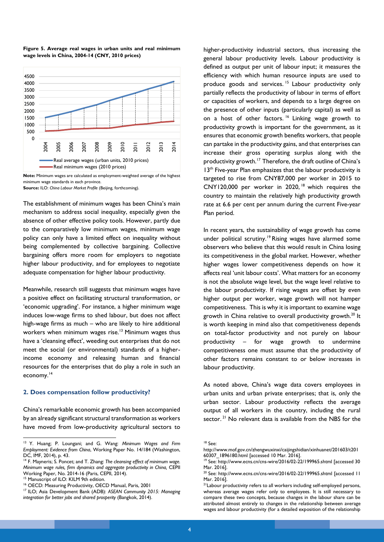

#### **Figure 5. Average real wages in urban units and real minimum wage levels in China, 2004-14 (CNY, 2010 prices)**

**Note:** Minimum wages are calculated as employment-weighted average of the highest minimum wage standards in each province.

**Source:** ILO: *China Labour Market Profile* (Beijing, forthcoming).

The establishment of minimum wages has been China's main mechanism to address social inequality, especially given the absence of other effective policy tools. However, partly due to the comparatively low minimum wages, minimum wage policy can only have a limited effect on inequality without being complemented by collective bargaining. Collective bargaining offers more room for employers to negotiate higher labour productivity, and for employees to negotiate adequate compensation for higher labour productivity.

Meanwhile, research still suggests that minimum wages have a positive effect on facilitating structural transformation, or 'economic upgrading'. For instance, a higher minimum wage induces low-wage firms to shed labour, but does not affect high-wage firms as much – who are likely to hire additional workers when minimum wages rise.<sup>13</sup> Minimum wages thus have a 'cleansing effect', weeding out enterprises that do not meet the social (or environmental) standards of a higherincome economy and releasing human and financial resources for the enterprises that do play a role in such an economy. 14

## **2. Does compensation follow productivity?**

China's remarkable economic growth has been accompanied by an already significant structural transformation as workers have moved from low-productivity agricultural sectors to

<sup>15</sup> Manuscript of ILO: KILM 9th edition.

**.** 

higher-productivity industrial sectors, thus increasing the general labour productivity levels. Labour productivity is defined as output per unit of labour input; it measures the efficiency with which human resource inputs are used to produce goods and services.<sup>15</sup> Labour productivity only partially reflects the productivity of labour in terms of effort or capacities of workers, and depends to a large degree on the presence of other inputs (particularly capital) as well as on a host of other factors.<sup>16</sup> Linking wage growth to productivity growth is important for the government, as it ensures that economic growth benefits workers, that people can partake in the productivity gains, and that enterprises can increase their gross operating surplus along with the productivity growth.<sup>17</sup> Therefore, the draft outline of China's 13<sup>th</sup> Five-year Plan emphasizes that the labour productivity is targeted to rise from CNY87,000 per worker in 2015 to CNY120,000 per worker in 2020, <sup>18</sup> which requires the country to maintain the relatively high productivity growth rate at 6.6 per cent per annum during the current Five-year Plan period.

In recent years, the sustainability of wage growth has come under political scrutiny.<sup>19</sup> Rising wages have alarmed some observers who believe that this would result in China losing its competitiveness in the global market. However, whether higher wages lower competitiveness depends on how it affects real 'unit labour costs'. What matters for an economy is not the absolute wage level, but the wage level relative to the labour productivity. If rising wages are offset by even higher output per worker, wage growth will not hamper competitiveness. This is why it is important to examine wage growth in China relative to overall productivity growth.<sup>20</sup> It is worth keeping in mind also that competitiveness depends on total-factor productivity and not purely on labour productivity – for wage growth to undermine competitiveness one must assume that the productivity of other factors remains constant to or below increases in labour productivity.

As noted above, China's wage data covers employees in urban units and urban private enterprises; that is, only the urban sector. Labour productivity reflects the average output of all workers in the country, including the rural sector.<sup>21</sup> No relevant data is available from the NBS for the

<sup>13</sup> Y. Huang; P. Loungani; and G. Wang: *Minimum Wages and Firm Employment: Evidence from China*, Working Paper No. 14/184 (Washington, DC, IMF, 2014), p. 43.

<sup>14</sup> F. Mayneris; S. Poncet; and T. Zhang: *The cleansing effect of minimum wage. Minimum wage rules, firm dynamics and aggregate productivity in China,* CEPII Working Paper, No. 2014-16 (Paris, CEPII, 2014).

<sup>16</sup> OECD: Measuring Productivity, OECD Manual, Paris, 2001

<sup>17</sup> ILO; Asia Development Bank (ADB): *ASEAN Community 2015: Managing integration for better jobs and shared prosperity* (Bangkok, 2014).

<sup>18</sup> See:

http://www.mof.gov.cn/zhengwuxinxi/caijingshidian/xinhuanet/201603/t201 60307\_1896180.html [accessed 10 Mar. 2016].

<sup>&</sup>lt;sup>19</sup> See: http://www.ecns.cn/cns-wire/2016/02-22/199965.shtml [accessed 30 Mar. 2016].

<sup>&</sup>lt;sup>20</sup> See: http://www.ecns.cn/cns-wire/2016/02-22/199965.shtml [accessed 11 Mar. 2016].

<sup>&</sup>lt;sup>21</sup>Labour productivity refers to all workers including self-employed persons, whereas average wages refer only to employees. It is still necessary to compare these two concepts, because changes in the labour share can be attributed almost entirely to changes in the relationship between average wages and labour productivity (for a detailed exposition of the relationship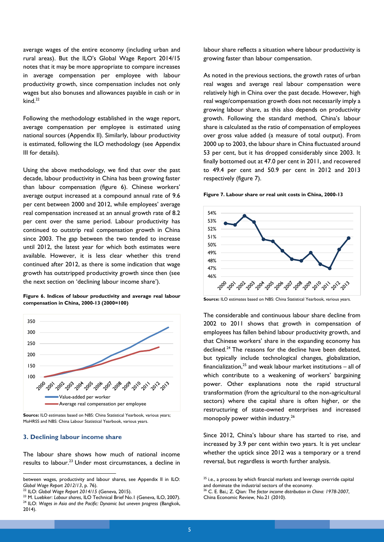average wages of the entire economy (including urban and rural areas). But the ILO's Global Wage Report 2014/15 notes that it may be more appropriate to compare increases in average compensation per employee with labour productivity growth, since compensation includes not only wages but also bonuses and allowances payable in cash or in kind. 22

Following the methodology established in the wage report, average compensation per employee is estimated using national sources (Appendix II). Similarly, labour productivity is estimated, following the ILO methodology (see Appendix III for details).

Using the above methodology, we find that over the past decade, labour productivity in China has been growing faster than labour compensation (figure 6). Chinese workers' average output increased at a compound annual rate of 9.6 per cent between 2000 and 2012, while employees' average real compensation increased at an annual growth rate of 8.2 per cent over the same period. Labour productivity has continued to outstrip real compensation growth in China since 2003. The gap between the two tended to increase until 2012, the latest year for which both estimates were available. However, it is less clear whether this trend continued after 2012, as there is some indication that wage growth has outstripped productivity growth since then (see the next section on 'declining labour income share').

#### **Figure 6. Indices of labour productivity and average real labour compensation in China, 2000-13 (2000=100)**



**Source:** ILO estimates based on NBS: China Statistical Yearbook, various years; MoHRSS and NBS: China Labour Statistical Yearbook, various years.

#### **3. Declining labour income share**

**.** 

The labour share shows how much of national income results to labour.<sup>23</sup> Under most circumstances, a decline in labour share reflects a situation where labour productivity is growing faster than labour compensation.

As noted in the previous sections, the growth rates of urban real wages and average real labour compensation were relatively high in China over the past decade. However, high real wage/compensation growth does not necessarily imply a growing labour share, as this also depends on productivity growth. Following the standard method, China's labour share is calculated as the ratio of compensation of employees over gross value added (a measure of total output). From 2000 up to 2003, the labour share in China fluctuated around 53 per cent, but it has dropped considerably since 2003. It finally bottomed out at 47.0 per cent in 2011, and recovered to 49.4 per cent and 50.9 per cent in 2012 and 2013 respectively (figure 7).

**Figure 7. Labour share or real unit costs in China, 2000-13**



**Source:** ILO estimates based on NBS: China Statistical Yearbook, various years.

The considerable and continuous labour share decline from 2002 to 2011 shows that growth in compensation of employees has fallen behind labour productivity growth, and that Chinese workers' share in the expanding economy has declined.<sup>24</sup> The reasons for the decline have been debated, but typically include technological changes, globalization, financialization, $^{25}$  and weak labour market institutions – all of which contribute to a weakening of workers' bargaining power. Other explanations note the rapid structural transformation (from the agricultural to the non-agricultural sectors) where the capital share is often higher, or the restructuring of state-owned enterprises and increased monopoly power within industry.<sup>26</sup>

Since 2012, China's labour share has started to rise, and increased by 3.9 per cent within two years. It is yet unclear whether the uptick since 2012 was a temporary or a trend reversal, but regardless is worth further analysis.

and dominate the industrial sectors of the economy.

between wages, productivity and labour shares, see Appendix II in ILO: *Global Wage Report 2012/13*, p. 76).

<sup>22</sup> ILO: *Global Wage Report 2014/15* (Geneva, 2015).

<sup>&</sup>lt;sup>23</sup> M. Luebker: *Labour shares*, ILO Technical Brief No.1 (Geneva, ILO, 2007). <sup>24</sup> ILO: *Wages in Asia and the Pacific: Dynamic but uneven progress* (Bangkok, 2014).

<sup>&</sup>lt;sup>25</sup> i.e., a process by which financial markets and leverage override capital

<sup>26</sup> C. E. Bai,; Z. Qian: *The factor income distribution in China: 1978-2007*, China Economic Review, No.21 (2010).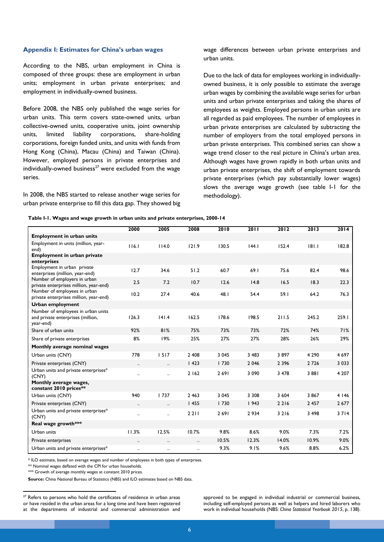#### **Appendix I: Estimates for China's urban wages**

According to the NBS, urban employment in China is composed of three groups: these are employment in urban units; employment in urban private enterprises; and employment in individually-owned business.

Before 2008, the NBS only published the wage series for urban units. This term covers state-owned units, urban collective-owned units, cooperative units, joint ownership units, limited liability corporations, share-holding corporations, foreign funded units, and units with funds from Hong Kong (China), Macau (China) and Taiwan (China). However, employed persons in private enterprises and individually-owned business<sup>27</sup> were excluded from the wage series.

In 2008, the NBS started to release another wage series for urban private enterprise to fill this data gap. They showed big wage differences between urban private enterprises and urban units.

Due to the lack of data for employees working in individuallyowned business, it is only possible to estimate the average urban wages by combining the available wage series for urban units and urban private enterprises and taking the shares of employees as weights. Employed persons in urban units are all regarded as paid employees. The number of employees in urban private enterprises are calculated by subtracting the number of employers from the total employed persons in urban private enterprises. This combined series can show a wage trend closer to the real picture in China's urban area. Although wages have grown rapidly in both urban units and urban private enterprises, the shift of employment towards private enterprises (which pay substantially lower wages) slows the average wage growth (see table I-1 for the methodology).

|                                                                                      | 2000                      | 2005                 | 2008      | 2010    | 2011    | 2012    | 2013    | 2014    |
|--------------------------------------------------------------------------------------|---------------------------|----------------------|-----------|---------|---------|---------|---------|---------|
| <b>Employment in urban units</b>                                                     |                           |                      |           |         |         |         |         |         |
| Employment in units (million, year-<br>end)                                          | 116.1                     | 114.0                | 121.9     | 130.5   | 44.1    | 152.4   | 181.1   | 182.8   |
| <b>Employment in urban private</b><br>enterprises                                    |                           |                      |           |         |         |         |         |         |
| Employment in urban private<br>enterprises (million, year-end)                       | 12.7                      | 34.6                 | 51.2      | 60.7    | 69.1    | 75.6    | 82.4    | 98.6    |
| Number of employers in urban<br>private enterprises million, year-end)               | 2.5                       | 7.2                  | 10.7      | 12.6    | 14.8    | 16.5    | 18.3    | 22.3    |
| Number of employees in urban<br>private enterprises million, year-end)               | 10.2                      | 27.4                 | 40.6      | 48.I    | 54.4    | 59.1    | 64.2    | 76.3    |
| Urban employment                                                                     |                           |                      |           |         |         |         |         |         |
| Number of employees in urban units<br>and private enterprises (million,<br>year-end) | 126.3                     | 141.4                | 162.5     | 178.6   | 198.5   | 211.5   | 245.2   | 259.I   |
| Share of urban units                                                                 | 92%                       | 81%                  | 75%       | 73%     | 73%     | 72%     | 74%     | 71%     |
| Share of private enterprises                                                         | 8%                        | 19%                  | 25%       | 27%     | 27%     | 28%     | 26%     | 29%     |
| Monthly average nominal wages                                                        |                           |                      |           |         |         |         |         |         |
| Urban units (CNY)                                                                    | 778                       | 1517                 | 2 4 0 8   | 3 0 4 5 | 3 4 8 3 | 3897    | 4 2 9 0 | 4 6 9 7 |
| Private enterprises (CNY)                                                            | $\ddot{\phantom{0}}\cdot$ | $\ddotsc$            | 1423      | 1730    | 2 0 4 6 | 2 3 9 6 | 2726    | 3 0 3 3 |
| Urban units and private enterprises*<br>(CNY)                                        |                           | $\ddot{\phantom{a}}$ | 2 1 6 2   | 2691    | 3 0 9 0 | 3 4 7 8 | 3 8 8 1 | 4 2 0 7 |
| Monthly average wages,<br>constant 2010 prices**                                     |                           |                      |           |         |         |         |         |         |
| Urban units (CNY)                                                                    | 940                       | 1737                 | 2 4 6 3   | 3 0 4 5 | 3 3 0 8 | 3 604   | 3 8 6 7 | 4 1 4 6 |
| Private enterprises (CNY)                                                            | $\ldots$                  | $\ldots$             | 1455      | 1730    | 1943    | 2 2 1 6 | 2 4 5 7 | 2677    |
| Urban units and private enterprises*<br>(CNY)                                        | $\ddotsc$                 | $\ddotsc$            | 2 2 1 1   | 2691    | 2934    | 3 2 1 6 | 3 4 9 8 | 3714    |
| Real wage growth***                                                                  |                           |                      |           |         |         |         |         |         |
| Urban units                                                                          | 11.3%                     | 12.5%                | 10.7%     | 9.8%    | 8.6%    | 9.0%    | 7.3%    | 7.2%    |
| Private enterprises                                                                  | $\ldots$                  | $\ldots$             | $\ldots$  | 10.5%   | 12.3%   | 14.0%   | 10.9%   | 9.0%    |
| Urban units and private enterprises*                                                 | $\ddotsc$                 | $\ddotsc$            | $\ddotsc$ | 9.3%    | 9.1%    | 9.6%    | 8.8%    | 6.2%    |
|                                                                                      |                           |                      |           |         |         |         |         |         |

\* ILO estimate, based on average wages and number of employees in both types of enterprises.

\*\* Nominal wages deflated with the CPI for urban households.

\*\*\* Growth of average monthly wages at constant 2010 prices.

1

**Source:** China National Bureau of Statistics (NBS) and ILO estimates based on NBS data.

approved to be engaged in individual industrial or commercial business, including self-employed persons as well as helpers and hired laborers who work in individual households (NBS: *China Statistical Yearbook 2015*, p. 138).

 $27$  Refers to persons who hold the certificates of residence in urban areas or have resided in the urban areas for a long time and have been registered at the departments of industrial and commercial administration and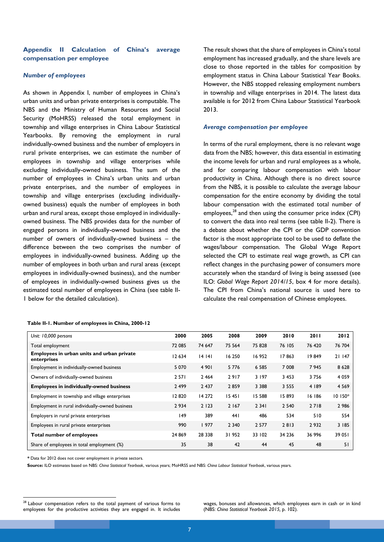## **Appendix II Calculation of China's average compensation per employee**

#### *Number of employees*

As shown in Appendix I, number of employees in China's urban units and urban private enterprises is computable. The NBS and the Ministry of Human Resources and Social Security (MoHRSS) released the total employment in township and village enterprises in China Labour Statistical Yearbooks. By removing the employment in rural individually-owned business and the number of employers in rural private enterprises, we can estimate the number of employees in township and village enterprises while excluding individually-owned business. The sum of the number of employees in China's urban units and urban private enterprises, and the number of employees in township and village enterprises (excluding individuallyowned business) equals the number of employees in both urban and rural areas, except those employed in individuallyowned business. The NBS provides data for the number of engaged persons in individually-owned business and the number of owners of individually-owned business – the difference between the two comprises the number of employees in individually-owned business. Adding up the number of employees in both urban and rural areas (except employees in individually-owned business), and the number of employees in individually-owned business gives us the estimated total number of employees in China (see table II-1 below for the detailed calculation).

The result shows that the share of employees in China's total employment has increased gradually, and the share levels are close to those reported in the tables for composition by employment status in China Labour Statistical Year Books. However, the NBS stopped releasing employment numbers in township and village enterprises in 2014. The latest data available is for 2012 from China Labour Statistical Yearbook 2013.

#### *Average compensation per employee*

In terms of the rural employment, there is no relevant wage data from the NBS; however, this data essential in estimating the income levels for urban and rural employees as a whole, and for comparing labour compensation with labour productivity in China. Although there is no direct source from the NBS, it is possible to calculate the average labour compensation for the entire economy by dividing the total labour compensation with the estimated total number of employees, $^{28}$  and then using the consumer price index (CPI) to convert the data into real terms (see table II-2). There is a debate about whether the CPI or the GDP convention factor is the most appropriate tool to be used to deflate the wages/labour compensation. The Global Wage Report selected the CPI to estimate real wage growth, as CPI can reflect changes in the purchasing power of consumers more accurately when the standard of living is being assessed (see ILO: *Global Wage Report 2014/15*, box 4 for more details). The CPI from China's national source is used here to calculate the real compensation of Chinese employees.

| Unit: 10,000 persons                                      | 2000    | 2005    | 2008    | 2009    | 2010    | 2011   | 2012     |
|-----------------------------------------------------------|---------|---------|---------|---------|---------|--------|----------|
| Total employment                                          | 72 085  | 74 647  | 75 5 64 | 75 828  | 76 105  | 76 420 | 76 704   |
| Employees in urban units and urban private<br>enterprises | 12 634  | 14141   | 16 250  | 16952   | 17863   | 19849  | 21 147   |
| Employment in individually-owned business                 | 5 0 7 0 | 4 9 0 1 | 5 7 7 6 | 6 5 8 5 | 7 0 0 8 | 7945   | 8 6 2 8  |
| Owners of individually-owned business                     | 2 5 7 1 | 2 4 6 4 | 2917    | 3 1 9 7 | 3 4 5 3 | 3756   | 4 0 5 9  |
| <b>Employees in individually-owned business</b>           | 2 4 9 9 | 2 4 3 7 | 2859    | 3 3 8 8 | 3 5 5 5 | 4 189  | 4 5 6 9  |
| Employment in township and village enterprises            | 12820   | 14 272  | 15451   | 15 588  | 15893   | 16 186 | $10150*$ |
| Employment in rural individually-owned business           | 2934    | 2 1 2 3 | 2 1 6 7 | 2 3 4 1 | 2 5 4 0 | 2718   | 2 9 8 6  |
| Employers in rural private enterprises                    | 149     | 389     | 441     | 486     | 534     | 510    | 554      |
| Employees in rural private enterprises                    | 990     | 1977    | 2 3 4 0 | 2 5 7 7 | 2813    | 2932   | 3 185    |
| Total number of employees                                 | 24 869  | 28 3 38 | 31 952  | 33 102  | 34 2 36 | 36 996 | 39 051   |
| Share of employees in total employment (%)                | 35      | 38      | 42      | 44      | 45      | 48     | 51       |

**Table II-1. Number of employees in China, 2000-12**

*\** Data for 2012 does not cover employment in private sectors.

**Source:** ILO estimates based on NBS: *China Statistical Yearbook*, various years; MoHRSS and NBS: *China Labour Statistical Yearbook*, various years.

wages, bonuses and allowances, which employees earn in cash or in kind (NBS: *China Statistical Yearbook 2015,* p. 102).

<sup>1</sup>  $28$  Labour compensation refers to the total payment of various forms to employees for the productive activities they are engaged in. It includes